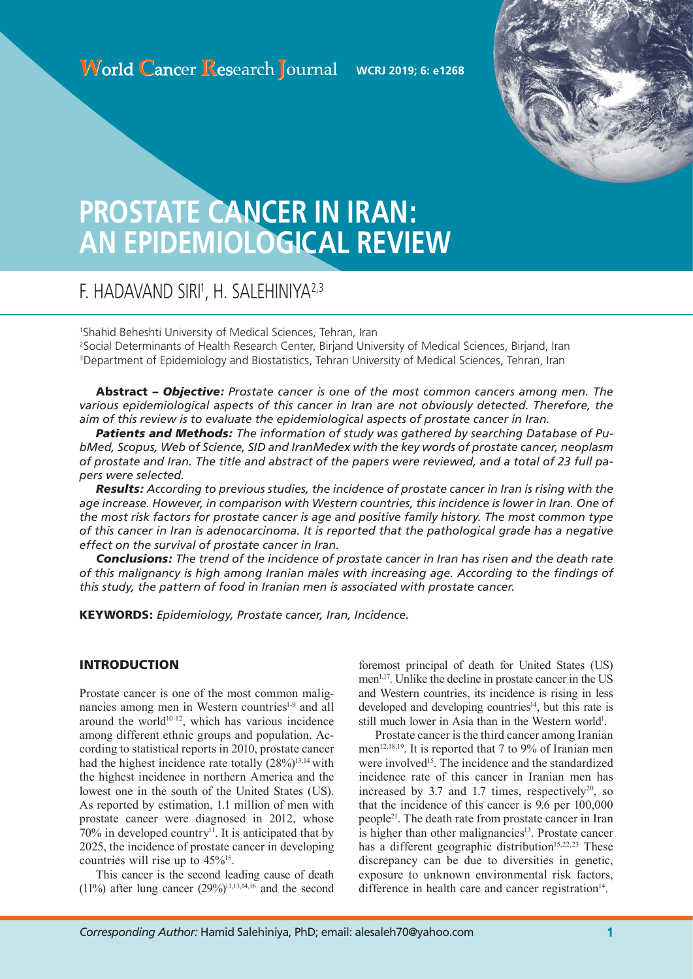

# **PROSTATE CANCER IN IRAN: AN EPIDEMIOLOGICAL REVIEW**

# F. HADAVAND SIRI', H. SALEHINIYA<sup>2,3</sup>

1 Shahid Beheshti University of Medical Sciences, Tehran, Iran 2 Social Determinants of Health Research Center, Birjand University of Medical Sciences, Birjand, Iran <sup>3</sup>Department of Epidemiology and Biostatistics, Tehran University of Medical Sciences, Tehran, Iran

Abstract *– Objective: Prostate cancer is one of the most common cancers among men. The various epidemiological aspects of this cancer in Iran are not obviously detected. Therefore, the aim of this review is to evaluate the epidemiological aspects of prostate cancer in Iran.* 

*Patients and Methods: The information of study was gathered by searching Database of PubMed, Scopus, Web of Science, SID and IranMedex with the key words of prostate cancer, neoplasm of prostate and Iran. The title and abstract of the papers were reviewed, and a total of 23 full papers were selected.*

*Results: According to previous studies, the incidence of prostate cancer in Iran is rising with the age increase. However, in comparison with Western countries, this incidence is lower in Iran. One of the most risk factors for prostate cancer is age and positive family history. The most common type of this cancer in Iran is adenocarcinoma. It is reported that the pathological grade has a negative effect on the survival of prostate cancer in Iran.*

*Conclusions: The trend of the incidence of prostate cancer in Iran has risen and the death rate of this malignancy is high among Iranian males with increasing age. According to the findings of this study, the pattern of food in Iranian men is associated with prostate cancer.*

KEYWORDS: *Epidemiology, Prostate cancer, Iran, Incidence.*

# INTRODUCTION

Prostate cancer is one of the most common malignancies among men in Western countries<sup>1-9</sup> and all around the world $10^{-12}$ , which has various incidence among different ethnic groups and population. According to statistical reports in 2010, prostate cancer had the highest incidence rate totally  $(28\%)^{13,14}$  with the highest incidence in northern America and the lowest one in the south of the United States (US). As reported by estimation, 1.1 million of men with prostate cancer were diagnosed in 2012, whose  $70\%$  in developed country<sup>11</sup>. It is anticipated that by 2025, the incidence of prostate cancer in developing countries will rise up to  $45\%^{15}$ .

This cancer is the second leading cause of death (11%) after lung cancer  $(29\%)^{11,13,14,16}$  and the second foremost principal of death for United States (US) men<sup>1,17</sup>. Unlike the decline in prostate cancer in the US and Western countries, its incidence is rising in less developed and developing countries<sup> $14$ </sup>, but this rate is still much lower in Asia than in the Western world<sup>1</sup>.

Prostate cancer is the third cancer among Iranian men<sup>12,18,19</sup>. It is reported that 7 to 9% of Iranian men were involved<sup>15</sup>. The incidence and the standardized incidence rate of this cancer in Iranian men has increased by 3.7 and 1.7 times, respectively<sup>20</sup>, so that the incidence of this cancer is 9.6 per 100,000 people21. The death rate from prostate cancer in Iran is higher than other malignancies<sup>13</sup>. Prostate cancer has a different geographic distribution<sup>15,22,23</sup> These discrepancy can be due to diversities in genetic, exposure to unknown environmental risk factors, difference in health care and cancer registration $14$ .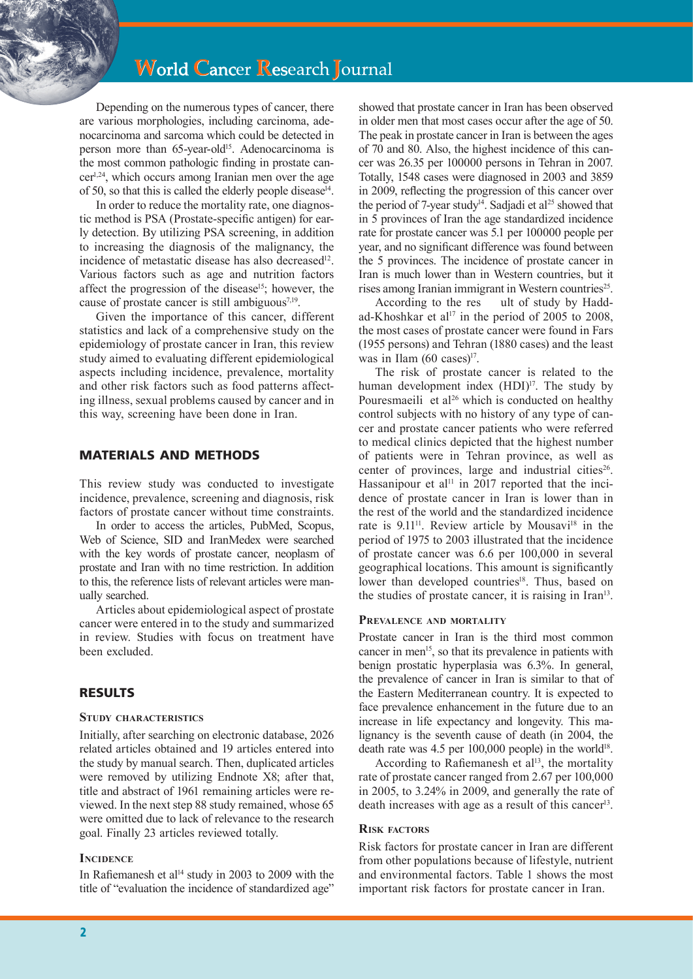# **World Cancer Research Journal**

Depending on the numerous types of cancer, there are various morphologies, including carcinoma, adenocarcinoma and sarcoma which could be detected in person more than 65-year-old<sup>15</sup>. Adenocarcinoma is the most common pathologic finding in prostate cancer1,24, which occurs among Iranian men over the age of 50, so that this is called the elderly people disease $14$ .

In order to reduce the mortality rate, one diagnostic method is PSA (Prostate-specific antigen) for early detection. By utilizing PSA screening, in addition to increasing the diagnosis of the malignancy, the incidence of metastatic disease has also decreased<sup>12</sup>. Various factors such as age and nutrition factors affect the progression of the disease<sup>15</sup>; however, the cause of prostate cancer is still ambiguous $7.19$ .

Given the importance of this cancer, different statistics and lack of a comprehensive study on the epidemiology of prostate cancer in Iran, this review study aimed to evaluating different epidemiological aspects including incidence, prevalence, mortality and other risk factors such as food patterns affecting illness, sexual problems caused by cancer and in this way, screening have been done in Iran.

## MATERIALS AND METHODS

This review study was conducted to investigate incidence, prevalence, screening and diagnosis, risk factors of prostate cancer without time constraints.

In order to access the articles, PubMed, Scopus, Web of Science, SID and IranMedex were searched with the key words of prostate cancer, neoplasm of prostate and Iran with no time restriction. In addition to this, the reference lists of relevant articles were manually searched.

Articles about epidemiological aspect of prostate cancer were entered in to the study and summarized in review. Studies with focus on treatment have been excluded.

# RESULTS

#### **Study characteristics**

Initially, after searching on electronic database, 2026 related articles obtained and 19 articles entered into the study by manual search. Then, duplicated articles were removed by utilizing Endnote X8; after that, title and abstract of 1961 remaining articles were reviewed. In the next step 88 study remained, whose 65 were omitted due to lack of relevance to the research goal. Finally 23 articles reviewed totally.

#### **INCIDENCE**

In Rafiemanesh et al<sup>14</sup> study in 2003 to 2009 with the title of "evaluation the incidence of standardized age"

showed that prostate cancer in Iran has been observed in older men that most cases occur after the age of 50. The peak in prostate cancer in Iran is between the ages of 70 and 80. Also, the highest incidence of this cancer was 26.35 per 100000 persons in Tehran in 2007. Totally, 1548 cases were diagnosed in 2003 and 3859 in 2009, reflecting the progression of this cancer over the period of 7-year study<sup>14</sup>. Sadjadi et al<sup>25</sup> showed that in 5 provinces of Iran the age standardized incidence rate for prostate cancer was 5.1 per 100000 people per year, and no significant difference was found between the 5 provinces. The incidence of prostate cancer in Iran is much lower than in Western countries, but it rises among Iranian immigrant in Western countries<sup>25</sup>.

According to the res ult of study by Haddad-Khoshkar et al<sup>17</sup> in the period of 2005 to 2008, the most cases of prostate cancer were found in Fars (1955 persons) and Tehran (1880 cases) and the least was in Ilam  $(60 \text{ cases})^{17}$ .

The risk of prostate cancer is related to the human development index (HDI)<sup>17</sup>. The study by Pouresmaeili et al<sup>26</sup> which is conducted on healthy control subjects with no history of any type of cancer and prostate cancer patients who were referred to medical clinics depicted that the highest number of patients were in Tehran province, as well as center of provinces, large and industrial cities<sup>26</sup>. Hassanipour et al<sup>11</sup> in 2017 reported that the incidence of prostate cancer in Iran is lower than in the rest of the world and the standardized incidence rate is 9.11<sup>11</sup>. Review article by Mousavi<sup>18</sup> in the period of 1975 to 2003 illustrated that the incidence of prostate cancer was 6.6 per 100,000 in several geographical locations. This amount is significantly lower than developed countries<sup>18</sup>. Thus, based on the studies of prostate cancer, it is raising in Iran<sup>13</sup>.

#### **Prevalence and mortality**

Prostate cancer in Iran is the third most common cancer in men<sup>15</sup>, so that its prevalence in patients with benign prostatic hyperplasia was 6.3%. In general, the prevalence of cancer in Iran is similar to that of the Eastern Mediterranean country. It is expected to face prevalence enhancement in the future due to an increase in life expectancy and longevity. This malignancy is the seventh cause of death (in 2004, the death rate was  $4.5$  per 100,000 people) in the world<sup>18</sup>.

According to Rafiemanesh et  $al<sup>13</sup>$ , the mortality rate of prostate cancer ranged from 2.67 per 100,000 in 2005, to 3.24% in 2009, and generally the rate of death increases with age as a result of this cancer<sup>13</sup>.

#### **Risk factors**

Risk factors for prostate cancer in Iran are different from other populations because of lifestyle, nutrient and environmental factors. Table 1 shows the most important risk factors for prostate cancer in Iran.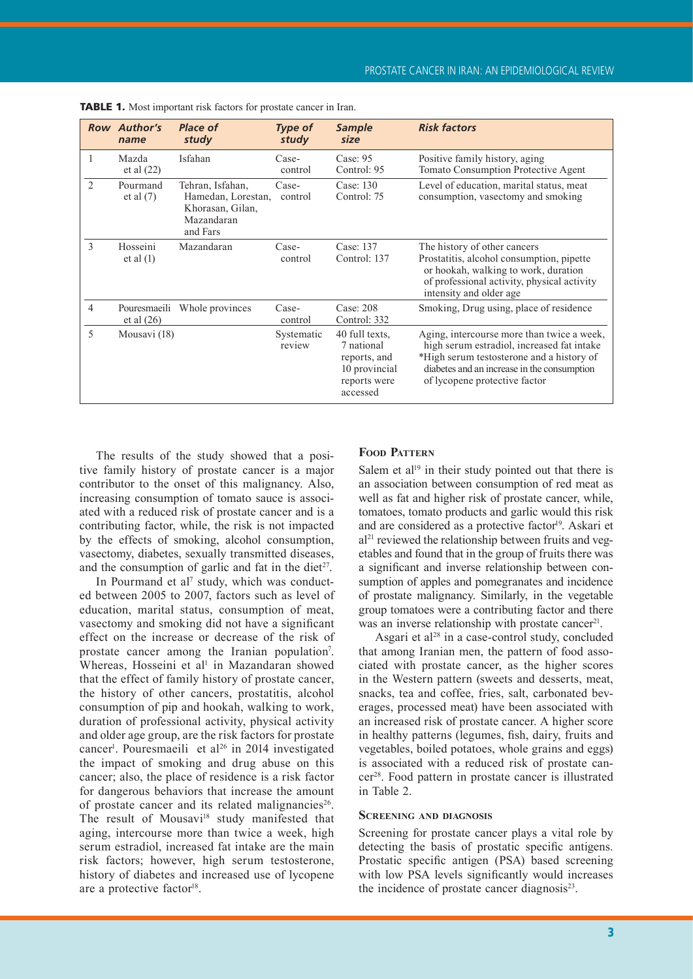|                | <b>Row Author's</b><br>name | Place of<br>study                                                                    | <b>Type of</b><br>study | <b>Sample</b><br>size                                                                     | <b>Risk factors</b>                                                                                                                                                                                                   |
|----------------|-----------------------------|--------------------------------------------------------------------------------------|-------------------------|-------------------------------------------------------------------------------------------|-----------------------------------------------------------------------------------------------------------------------------------------------------------------------------------------------------------------------|
| 1              | Mazda<br>et al (22)         | Isfahan                                                                              | Case-<br>control        | Case: $95$<br>Control: 95                                                                 | Positive family history, aging<br>Tomato Consumption Protective Agent                                                                                                                                                 |
| $\mathfrak{D}$ | Pourmand<br>et al $(7)$     | Tehran, Isfahan,<br>Hamedan, Lorestan,<br>Khorasan, Gilan,<br>Mazandaran<br>and Fars | Case-<br>control        | Case: 130<br>Control: 75                                                                  | Level of education, marital status, meat<br>consumption, vasectomy and smoking                                                                                                                                        |
| $\mathcal{E}$  | Hosseini<br>et al (1)       | Mazandaran                                                                           | Case-<br>control        | Case: 137<br>Control: 137                                                                 | The history of other cancers<br>Prostatitis, alcohol consumption, pipette<br>or hookah, walking to work, duration<br>of professional activity, physical activity<br>intensity and older age                           |
| 4              | et al $(26)$                | Pouresmaelli Whole provinces                                                         | Case-<br>control        | Case: 208<br>Control: 332                                                                 | Smoking, Drug using, place of residence                                                                                                                                                                               |
| 5              | Mousavi (18)                |                                                                                      | Systematic<br>review    | 40 full texts.<br>7 national<br>reports, and<br>10 provincial<br>reports were<br>accessed | Aging, intercourse more than twice a week,<br>high serum estradiol, increased fat intake<br>*High serum testosterone and a history of<br>diabetes and an increase in the consumption<br>of lycopene protective factor |

| <b>TABLE 1.</b> Most important risk factors for prostate cancer in Iran. |  |
|--------------------------------------------------------------------------|--|
|--------------------------------------------------------------------------|--|

The results of the study showed that a positive family history of prostate cancer is a major contributor to the onset of this malignancy. Also, increasing consumption of tomato sauce is associated with a reduced risk of prostate cancer and is a contributing factor, while, the risk is not impacted by the effects of smoking, alcohol consumption, vasectomy, diabetes, sexually transmitted diseases, and the consumption of garlic and fat in the diet<sup>27</sup>.

In Pourmand et al<sup>7</sup> study, which was conducted between 2005 to 2007, factors such as level of education, marital status, consumption of meat, vasectomy and smoking did not have a significant effect on the increase or decrease of the risk of prostate cancer among the Iranian population<sup>7</sup>. Whereas, Hosseini et al<sup>1</sup> in Mazandaran showed that the effect of family history of prostate cancer, the history of other cancers, prostatitis, alcohol consumption of pip and hookah, walking to work, duration of professional activity, physical activity and older age group, are the risk factors for prostate cancer<sup>1</sup>. Pouresmaeili et al<sup>26</sup> in 2014 investigated the impact of smoking and drug abuse on this cancer; also, the place of residence is a risk factor for dangerous behaviors that increase the amount of prostate cancer and its related malignancies<sup>26</sup>. The result of Mousavi<sup>18</sup> study manifested that aging, intercourse more than twice a week, high serum estradiol, increased fat intake are the main risk factors; however, high serum testosterone, history of diabetes and increased use of lycopene are a protective factor<sup>18</sup>.

## **Food Pattern**

Salem et al<sup>19</sup> in their study pointed out that there is an association between consumption of red meat as well as fat and higher risk of prostate cancer, while, tomatoes, tomato products and garlic would this risk and are considered as a protective factor<sup>19</sup>. Askari et al<sup>21</sup> reviewed the relationship between fruits and vegetables and found that in the group of fruits there was a significant and inverse relationship between consumption of apples and pomegranates and incidence of prostate malignancy. Similarly, in the vegetable group tomatoes were a contributing factor and there was an inverse relationship with prostate cancer<sup>21</sup>.

Asgari et al<sup>28</sup> in a case-control study, concluded that among Iranian men, the pattern of food associated with prostate cancer, as the higher scores in the Western pattern (sweets and desserts, meat, snacks, tea and coffee, fries, salt, carbonated beverages, processed meat) have been associated with an increased risk of prostate cancer. A higher score in healthy patterns (legumes, fish, dairy, fruits and vegetables, boiled potatoes, whole grains and eggs) is associated with a reduced risk of prostate cancer28. Food pattern in prostate cancer is illustrated in Table 2.

#### **Screening and diagnosis**

Screening for prostate cancer plays a vital role by detecting the basis of prostatic specific antigens. Prostatic specific antigen (PSA) based screening with low PSA levels significantly would increases the incidence of prostate cancer diagnosis<sup>23</sup>.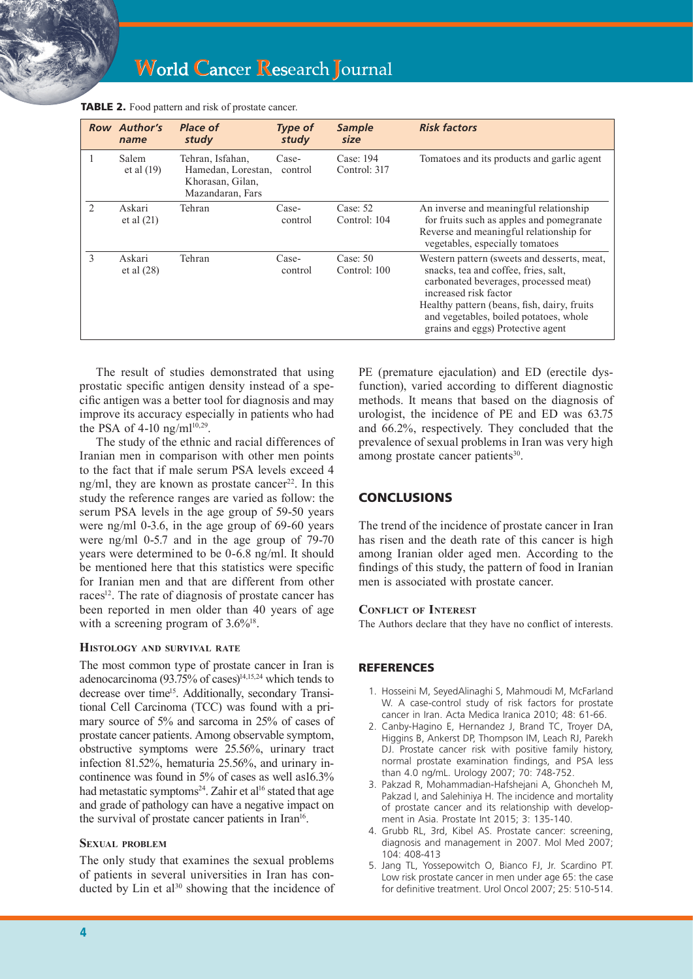|                               | <b>Row Author's</b><br>name | <b>Place of</b><br>study                                                       | <b>Type of</b><br>study | Sample<br>size             | <b>Risk factors</b>                                                                                                                                                                                                                                                                 |
|-------------------------------|-----------------------------|--------------------------------------------------------------------------------|-------------------------|----------------------------|-------------------------------------------------------------------------------------------------------------------------------------------------------------------------------------------------------------------------------------------------------------------------------------|
|                               | Salem<br>et al $(19)$       | Tehran, Isfahan,<br>Hamedan, Lorestan,<br>Khorasan, Gilan,<br>Mazandaran, Fars | Case-<br>control        | Case: 194<br>Control: 317  | Tomatoes and its products and garlic agent                                                                                                                                                                                                                                          |
| $\mathfrak{D}_{\mathfrak{p}}$ | Askari<br>et al $(21)$      | Tehran                                                                         | Case-<br>control        | Case: $52$<br>Control: 104 | An inverse and meaningful relationship<br>for fruits such as apples and pomegranate<br>Reverse and meaningful relationship for<br>vegetables, especially tomatoes                                                                                                                   |
| $\mathcal{E}$                 | Askari<br>et al $(28)$      | Tehran                                                                         | Case-<br>control        | Case: $50$<br>Control: 100 | Western pattern (sweets and desserts, meat,<br>snacks, tea and coffee, fries, salt.<br>carbonated beverages, processed meat)<br>increased risk factor<br>Healthy pattern (beans, fish, dairy, fruits<br>and vegetables, boiled potatoes, whole<br>grains and eggs) Protective agent |

|  | <b>TABLE 2.</b> Food pattern and risk of prostate cancer. |  |
|--|-----------------------------------------------------------|--|
|--|-----------------------------------------------------------|--|

The result of studies demonstrated that using prostatic specific antigen density instead of a specific antigen was a better tool for diagnosis and may improve its accuracy especially in patients who had the PSA of 4-10 ng/m $l^{10,29}$ .

The study of the ethnic and racial differences of Iranian men in comparison with other men points to the fact that if male serum PSA levels exceed 4 ng/ml, they are known as prostate cancer<sup>22</sup>. In this study the reference ranges are varied as follow: the serum PSA levels in the age group of 59-50 years were ng/ml 0-3.6, in the age group of 69-60 years were ng/ml 0-5.7 and in the age group of 79-70 years were determined to be 0-6.8 ng/ml. It should be mentioned here that this statistics were specific for Iranian men and that are different from other races<sup>12</sup>. The rate of diagnosis of prostate cancer has been reported in men older than 40 years of age with a screening program of  $3.6\%$ <sup>18</sup>.

#### **Histology and survival rate**

The most common type of prostate cancer in Iran is adenocarcinoma (93.75% of cases) $14,15,24$  which tends to decrease over time<sup>15</sup>. Additionally, secondary Transitional Cell Carcinoma (TCC) was found with a primary source of 5% and sarcoma in 25% of cases of prostate cancer patients. Among observable symptom, obstructive symptoms were 25.56%, urinary tract infection 81.52%, hematuria 25.56%, and urinary incontinence was found in 5% of cases as well as16.3% had metastatic symptoms<sup>24</sup>. Zahir et al<sup>16</sup> stated that age and grade of pathology can have a negative impact on the survival of prostate cancer patients in Iran<sup>16</sup>.

# **Sexual problem**

The only study that examines the sexual problems of patients in several universities in Iran has conducted by  $Lin$  et al<sup>30</sup> showing that the incidence of PE (premature ejaculation) and ED (erectile dysfunction), varied according to different diagnostic methods. It means that based on the diagnosis of urologist, the incidence of PE and ED was 63.75 and 66.2%, respectively. They concluded that the prevalence of sexual problems in Iran was very high among prostate cancer patients<sup>30</sup>.

# **CONCLUSIONS**

The trend of the incidence of prostate cancer in Iran has risen and the death rate of this cancer is high among Iranian older aged men. According to the findings of this study, the pattern of food in Iranian men is associated with prostate cancer.

#### **Conflict of Interest**

The Authors declare that they have no conflict of interests.

# **REFERENCES**

- 1. Hosseini M, SeyedAlinaghi S, Mahmoudi M, McFarland W. A case-control study of risk factors for prostate cancer in Iran. Acta Medica Iranica 2010; 48: 61-66.
- 2. Canby-Hagino E, Hernandez J, Brand TC, Troyer DA, Higgins B, Ankerst DP, Thompson IM, Leach RJ, Parekh DJ. Prostate cancer risk with positive family history, normal prostate examination findings, and PSA less than 4.0 ng/mL. Urology 2007; 70: 748-752.
- 3. Pakzad R, Mohammadian-Hafshejani A, Ghoncheh M, Pakzad I, and Salehiniya H. The incidence and mortality of prostate cancer and its relationship with development in Asia. Prostate Int 2015; 3: 135-140.
- 4. Grubb RL, 3rd, Kibel AS. Prostate cancer: screening, diagnosis and management in 2007. Mol Med 2007; 104: 408-413
- 5. Jang TL, Yossepowitch O, Bianco FJ, Jr. Scardino PT. Low risk prostate cancer in men under age 65: the case for definitive treatment. Urol Oncol 2007; 25: 510-514.